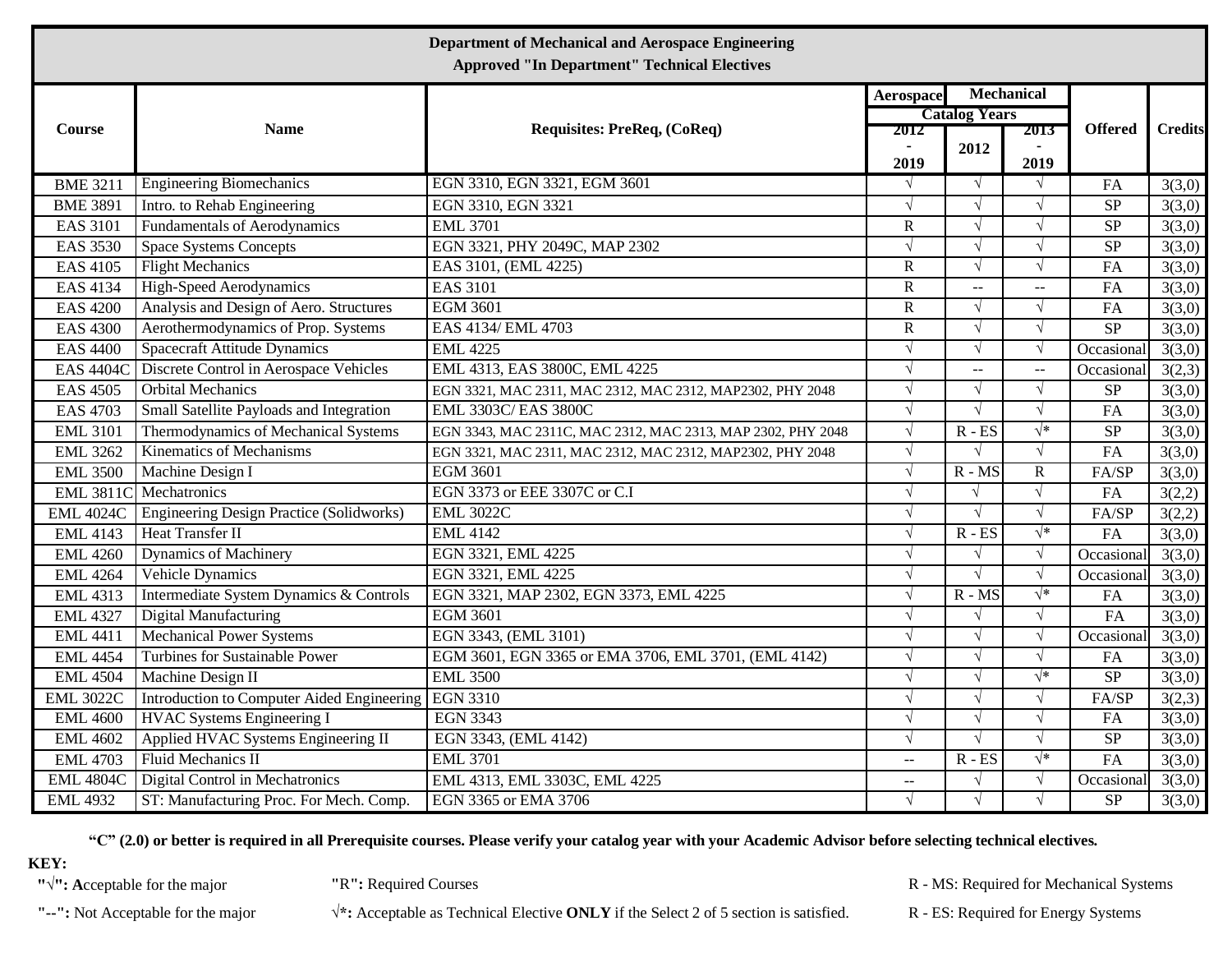| <b>Department of Mechanical and Aerospace Engineering</b><br><b>Approved "In Department" Technical Electives</b> |                                                 |                                                             |                |                              |                          |                        |                |  |  |  |  |
|------------------------------------------------------------------------------------------------------------------|-------------------------------------------------|-------------------------------------------------------------|----------------|------------------------------|--------------------------|------------------------|----------------|--|--|--|--|
|                                                                                                                  | <b>Name</b>                                     | Requisites: PreReq, (CoReq)                                 | Aerospace      | Mechanical                   |                          | <b>Offered</b>         | <b>Credits</b> |  |  |  |  |
| Course                                                                                                           |                                                 |                                                             | 2012           | <b>Catalog Years</b><br>2013 |                          |                        |                |  |  |  |  |
|                                                                                                                  |                                                 |                                                             | 2019           | 2012                         | 2019                     |                        |                |  |  |  |  |
| <b>BME 3211</b>                                                                                                  | <b>Engineering Biomechanics</b>                 | EGN 3310, EGN 3321, EGM 3601                                | $\sqrt{ }$     | $\sqrt{ }$                   | $\sqrt{ }$               | FA                     | 3(3,0)         |  |  |  |  |
| <b>BME 3891</b>                                                                                                  | Intro. to Rehab Engineering                     | EGN 3310, EGN 3321                                          | $\sqrt{ }$     | $\sqrt{ }$                   | $\sqrt{ }$               | $\overline{\text{SP}}$ | 3(3,0)         |  |  |  |  |
| <b>EAS 3101</b>                                                                                                  | <b>Fundamentals of Aerodynamics</b>             | <b>EML 3701</b>                                             | $\mathbf R$    | $\sqrt{ }$                   | $\sqrt{ }$               | SP                     | 3(3,0)         |  |  |  |  |
| <b>EAS 3530</b>                                                                                                  | <b>Space Systems Concepts</b>                   | EGN 3321, PHY 2049C, MAP 2302                               | $\sqrt{ }$     | $\sqrt{ }$                   | $\sqrt{ }$               | SP                     | 3(3,0)         |  |  |  |  |
| <b>EAS 4105</b>                                                                                                  | <b>Flight Mechanics</b>                         | EAS 3101, (EML 4225)                                        | $\overline{R}$ | $\sqrt{}$                    | $\sqrt{}$                | FA                     | 3(3,0)         |  |  |  |  |
| <b>EAS 4134</b>                                                                                                  | <b>High-Speed Aerodynamics</b>                  | <b>EAS 3101</b>                                             | $\mathbf R$    | $\overline{\phantom{a}}$     | $\overline{\phantom{a}}$ | FA                     | 3(3,0)         |  |  |  |  |
| <b>EAS 4200</b>                                                                                                  | Analysis and Design of Aero. Structures         | <b>EGM 3601</b>                                             | $\overline{R}$ | $\sqrt{ }$                   | $\sqrt{}$                | FA                     | 3(3,0)         |  |  |  |  |
| <b>EAS 4300</b>                                                                                                  | Aerothermodynamics of Prop. Systems             | EAS 4134/ EML 4703                                          | $\overline{R}$ | $\sqrt{ }$                   | $\sqrt{ }$               | SP                     | 3(3,0)         |  |  |  |  |
| <b>EAS 4400</b>                                                                                                  | <b>Spacecraft Attitude Dynamics</b>             | <b>EML</b> 4225                                             | $\sqrt{ }$     | $\sqrt{ }$                   | $\sqrt{ }$               | Occasional             | 3(3,0)         |  |  |  |  |
| <b>EAS 4404C</b>                                                                                                 | Discrete Control in Aerospace Vehicles          | EML 4313, EAS 3800C, EML 4225                               | $\sqrt{ }$     | Ш,                           | $\overline{a}$           | Occasional             | 3(2,3)         |  |  |  |  |
| <b>EAS 4505</b>                                                                                                  | <b>Orbital Mechanics</b>                        | EGN 3321, MAC 2311, MAC 2312, MAC 2312, MAP2302, PHY 2048   | $\sqrt{ }$     | $\sqrt{}$                    | $\sqrt{}$                | ${\rm SP}$             | 3(3,0)         |  |  |  |  |
| <b>EAS 4703</b>                                                                                                  | Small Satellite Payloads and Integration        | EML 3303C/EAS 3800C                                         | $\sqrt{ }$     | $\sqrt{ }$                   | $\sqrt{ }$               | FA                     | 3(3,0)         |  |  |  |  |
| <b>EML 3101</b>                                                                                                  | Thermodynamics of Mechanical Systems            | EGN 3343, MAC 2311C, MAC 2312, MAC 2313, MAP 2302, PHY 2048 | $\sqrt{ }$     | $R - ES$                     | $\sqrt{*}$               | $\overline{\text{SP}}$ | 3(3,0)         |  |  |  |  |
| <b>EML 3262</b>                                                                                                  | <b>Kinematics of Mechanisms</b>                 | EGN 3321, MAC 2311, MAC 2312, MAC 2312, MAP2302, PHY 2048   | $\sqrt{ }$     | $\sqrt{ }$                   | $\sqrt{ }$               | FA                     | 3(3,0)         |  |  |  |  |
| <b>EML 3500</b>                                                                                                  | Machine Design I                                | <b>EGM 3601</b>                                             | $\sqrt{ }$     | $R - MS$                     | ${\bf R}$                | FA/SP                  | 3(3,0)         |  |  |  |  |
| <b>EML 3811C</b>                                                                                                 | Mechatronics                                    | EGN 3373 or EEE 3307C or C.I                                | $\sqrt{ }$     |                              | $\sqrt{ }$               | FA                     | 3(2,2)         |  |  |  |  |
| <b>EML 4024C</b>                                                                                                 | <b>Engineering Design Practice (Solidworks)</b> | <b>EML 3022C</b>                                            | $\sqrt{ }$     | $\sqrt{ }$                   | $\sqrt{ }$               | FA/SP                  | 3(2,2)         |  |  |  |  |
| <b>EML 4143</b>                                                                                                  | <b>Heat Transfer II</b>                         | <b>EML 4142</b>                                             | $\sqrt{ }$     | $R - ES$                     | $\sqrt{*}$               | FA                     | 3(3,0)         |  |  |  |  |
| <b>EML 4260</b>                                                                                                  | <b>Dynamics of Machinery</b>                    | EGN 3321, EML 4225                                          | $\sqrt{ }$     | $\sqrt{ }$                   | $\sqrt{ }$               | Occasional             | 3(3,0)         |  |  |  |  |
| <b>EML 4264</b>                                                                                                  | Vehicle Dynamics                                | EGN 3321, EML 4225                                          | $\sqrt{ }$     | $\sqrt{ }$                   | $\sqrt{ }$               | Occasional             | 3(3,0)         |  |  |  |  |
| <b>EML 4313</b>                                                                                                  | Intermediate System Dynamics & Controls         | EGN 3321, MAP 2302, EGN 3373, EML 4225                      | $\sqrt{ }$     | $R - MS$                     | $\sqrt{*}$               | FA                     | 3(3,0)         |  |  |  |  |
| <b>EML 4327</b>                                                                                                  | <b>Digital Manufacturing</b>                    | <b>EGM 3601</b>                                             | $\sqrt{ }$     | $\sqrt{ }$                   | $\sqrt{ }$               | FA                     | 3(3,0)         |  |  |  |  |
| <b>EML 4411</b>                                                                                                  | <b>Mechanical Power Systems</b>                 | EGN 3343, (EML 3101)                                        | $\sqrt{ }$     | $\sqrt{ }$                   | $\sqrt{ }$               | Occasional             | 3(3,0)         |  |  |  |  |
| <b>EML 4454</b>                                                                                                  | <b>Turbines for Sustainable Power</b>           | EGM 3601, EGN 3365 or EMA 3706, EML 3701, (EML 4142)        | $\sqrt{ }$     | $\sqrt{ }$                   | $\sqrt{ }$               | FA                     | 3(3,0)         |  |  |  |  |
| <b>EML 4504</b>                                                                                                  | Machine Design II                               | <b>EML 3500</b>                                             | $\sqrt{ }$     | $\sqrt{ }$                   | $\sqrt{*}$               | $\overline{\text{SP}}$ | 3(3,0)         |  |  |  |  |
| <b>EML 3022C</b>                                                                                                 | Introduction to Computer Aided Engineering      | <b>EGN 3310</b>                                             | $\sqrt{ }$     | $\sqrt{ }$                   | $\sqrt{ }$               | FA/SP                  | 3(2,3)         |  |  |  |  |
| <b>EML 4600</b>                                                                                                  | <b>HVAC Systems Engineering I</b>               | <b>EGN 3343</b>                                             | $\sqrt{ }$     | $\sqrt{}$                    | $\sqrt{ }$               | FA                     | 3(3,0)         |  |  |  |  |
| <b>EML 4602</b>                                                                                                  | Applied HVAC Systems Engineering II             | EGN 3343, (EML 4142)                                        | $\sqrt{ }$     | $\sqrt{ }$                   | $\sqrt{ }$               | SP                     | 3(3,0)         |  |  |  |  |
| <b>EML</b> 4703                                                                                                  | Fluid Mechanics II                              | <b>EML 3701</b>                                             | $\sim$ $\sim$  | $R - ES$                     | $\sqrt{*}$               | FA                     | 3(3,0)         |  |  |  |  |
| <b>EML 4804C</b>                                                                                                 | Digital Control in Mechatronics                 | EML 4313, EML 3303C, EML 4225                               | $\overline{a}$ | $\sqrt{}$                    | $\sqrt{ }$               | Occasional             | 3(3,0)         |  |  |  |  |
| <b>EML 4932</b>                                                                                                  | ST: Manufacturing Proc. For Mech. Comp.         | EGN 3365 or EMA 3706                                        | $\sqrt{}$      | $\sqrt{}$                    | $\sqrt{}$                | SP                     | 3(3,0)         |  |  |  |  |

"C" (2.0) or better is required in all Prerequisite courses. Please verify your catalog year with your Academic Advisor before selecting technical electives.

**KEY:**

**"--":** Not Acceptable for the major **√\*:** Acceptable as Technical Elective **ONLY** if the Select 2 of 5 section is satisfied. R - ES: Required for Energy Systems

**"√": A**cceptable for the major **"**R**":** Required Courses R - MS: Required for Mechanical Systems